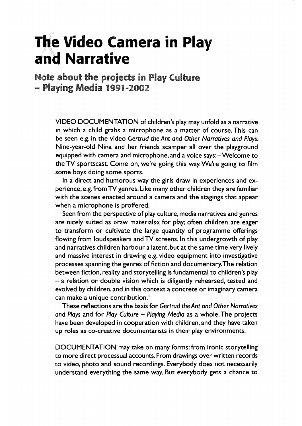## **Video Camera in Play and Narrative**

Note about the projects in Play Culture - Playing Media 1991-2002

> VIDEO DOCUMENTATION of children's play may unfold as a narrative in which a child grabs a microphone as a matter of course. This can be seen e.g. in the video *Gertrud the* Ant *and Other Narratives and Plays:*  Nine-year-old Nina and her friends scamper all over the playground equipped with camera and microphone, and a voice says: - Welcome to the TV sportscast. Come on, we're going this way. We're going to film some boys doing some sports.

> In a direct and humorous way the girls draw in experiences and experience, e.g. from TV genres. Like many other children they are familiar with the scenes enacted around a camera and the stagings that appear when a microphone is proffered.

> Seen from the perspective of play culture, media narratives and genres are nicely suited as »raw materials« for play; often children are eager to transform or cultivate the large quantity of programme offerings flowing from loudspeakers and TV screens. In this undergrowth of play and narratives children harbour a latent, but at the same time very lively and massive interest in drawing e.g. video equipment into investigative processes spanning the genres of fiction and documentary.The relation between fiction, reality and storytelling is fundamental to children's play - a relation or double vision which is diligently rehearsed, tested and evolved by children, and in this context a concrete or imaginary camera can make a unique contribution.<sup>1</sup>

> These reflections are the basis for *Gertrud the* Ant *and Other Narratives and Plays* and for *Play Culture* - *Playing Media* as a whole. The projects have been developed in cooperation with children, and they have taken up roles as co-creative documentarists in their play environments.

> DOCUMENTATION may take on many forms: from ironic storytelling to more direct processual accounts. From drawings over written records to video, photo and sound recordings. Everybody does not necessarily understand everything the same way. But everybody gets a chance to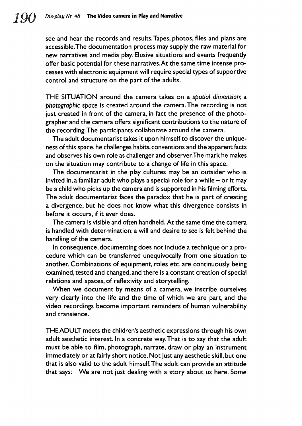see and hear the records and results. Tapes, photos, files and plans are accessible.The documentation process may supply the raw material for new narratives and media play. Elusive situations and events frequently offer basic potential for these narratives.At the same time intense processes with electronic equipment will require special types of supportive control and structure on the part of the adults.

THE SITUATION around the camera takes on a *spatial dimension;* a *photographic space* is created around the camera. The recording is not just created in front of the camera, in fact the presence of the photographer and the camera offers significant contributions to the nature of the recording. The participants collaborate around the camera.

The adult documentarist takes it upon himself to discover the uniqueness of this space, he challenges habits, conventions and the apparent facts and observes his own role as challenger and observer.The mark he makes on the situation may contribute to a change of life in this space.

The documentarist in the play cultures may be an outsider who is invited in, a familiar adult who plays a special role for a while  $-$  or it may be a child who picks up the camera and is supported in his filming efforts. The adult documentarist faces the paradox that he is part of creating a divergence, but he does not know what this divergence consists in befare it occurs, if it ever does.

The camera is visible and often handheld. At the same time the camera is handled with determination: a will and desire to see is felt behind the handling of the camera.

In consequence, documenting does not include a technique or a procedure which can be transferred unequivocally from one situation to another. Combinations of equipment, roles etc. are continuously being examined, tested and changed, and there is a constant creation of special relations and spaces, of reflexivity and storytelling.

When we document by means of a camera, we inscribe ourselves very clearly into the life and the time of which we are part, and the video recordings become important reminders of human vulnerability and transience.

THEADULT meets the children's aesthetic expressions through his own adult aesthetic interest. In a concrete way. That is to say that the adult must be able to film, photograph, narrate, draw or play an instrument immediately or at fairly short notice. Not just any aesthetic skill, but one that is also valid to the adult himself. The adult can provide an attitude that says: - We are not just dealing with a story about us here. Some